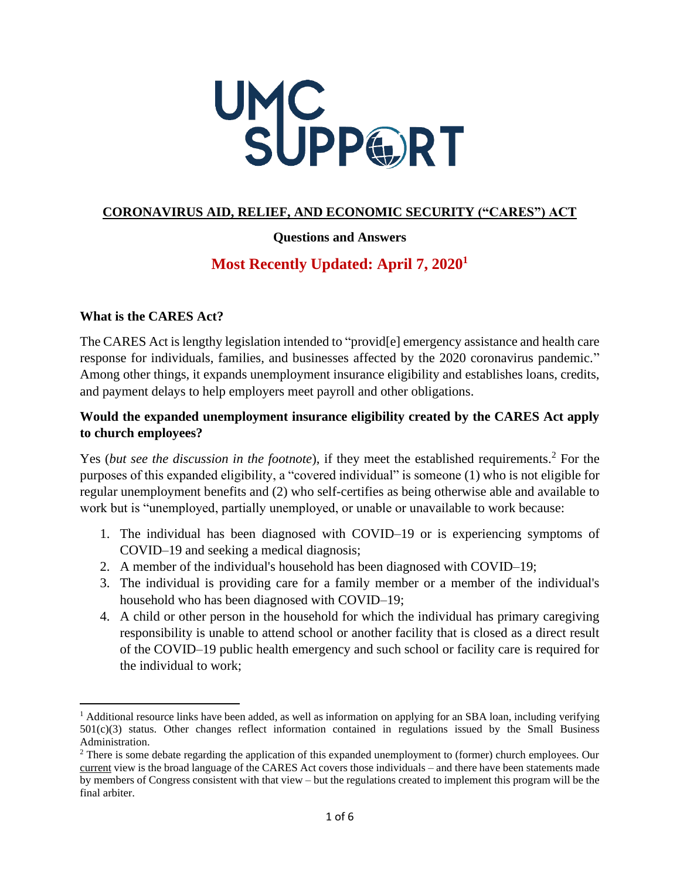

## **CORONAVIRUS AID, RELIEF, AND ECONOMIC SECURITY ("CARES") ACT**

## **Questions and Answers**

# **Most Recently Updated: April 7, 2020<sup>1</sup>**

## **What is the CARES Act?**

The CARES Act is lengthy legislation intended to "provid[e] emergency assistance and health care response for individuals, families, and businesses affected by the 2020 coronavirus pandemic." Among other things, it expands unemployment insurance eligibility and establishes loans, credits, and payment delays to help employers meet payroll and other obligations.

## **Would the expanded unemployment insurance eligibility created by the CARES Act apply to church employees?**

Yes (*but see the discussion in the footnote*), if they meet the established requirements.<sup>2</sup> For the purposes of this expanded eligibility, a "covered individual" is someone (1) who is not eligible for regular unemployment benefits and (2) who self-certifies as being otherwise able and available to work but is "unemployed, partially unemployed, or unable or unavailable to work because:

- 1. The individual has been diagnosed with COVID–19 or is experiencing symptoms of COVID–19 and seeking a medical diagnosis;
- 2. A member of the individual's household has been diagnosed with COVID–19;
- 3. The individual is providing care for a family member or a member of the individual's household who has been diagnosed with COVID–19;
- 4. A child or other person in the household for which the individual has primary caregiving responsibility is unable to attend school or another facility that is closed as a direct result of the COVID–19 public health emergency and such school or facility care is required for the individual to work;

<sup>&</sup>lt;sup>1</sup> Additional resource links have been added, as well as information on applying for an SBA loan, including verifying 501(c)(3) status. Other changes reflect information contained in regulations issued by the Small Business Administration.

<sup>&</sup>lt;sup>2</sup> There is some debate regarding the application of this expanded unemployment to (former) church employees. Our current view is the broad language of the CARES Act covers those individuals – and there have been statements made by members of Congress consistent with that view – but the regulations created to implement this program will be the final arbiter.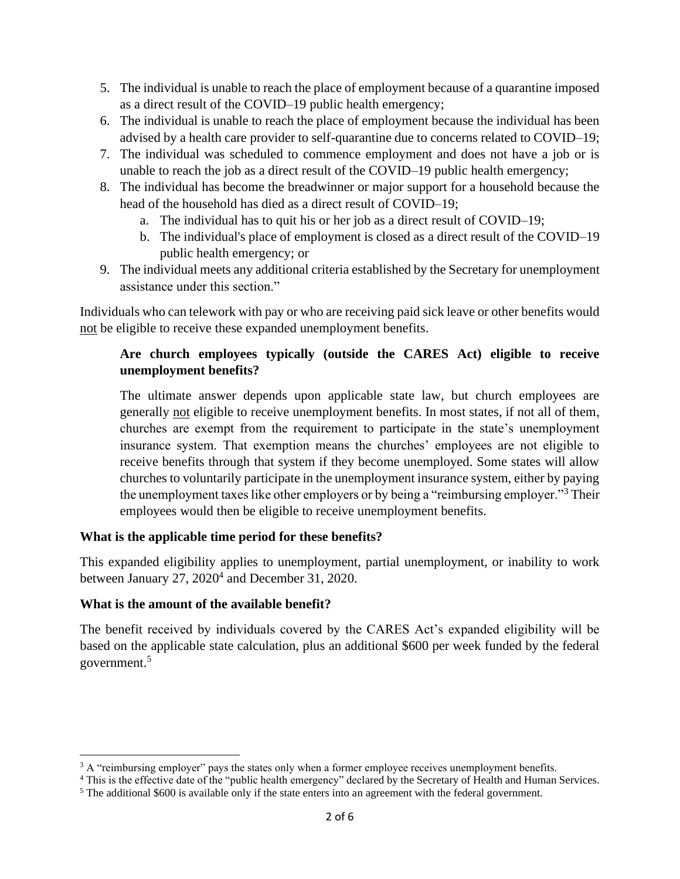- 5. The individual is unable to reach the place of employment because of a quarantine imposed as a direct result of the COVID–19 public health emergency;
- 6. The individual is unable to reach the place of employment because the individual has been advised by a health care provider to self-quarantine due to concerns related to COVID–19;
- 7. The individual was scheduled to commence employment and does not have a job or is unable to reach the job as a direct result of the COVID–19 public health emergency;
- 8. The individual has become the breadwinner or major support for a household because the head of the household has died as a direct result of COVID–19;
	- a. The individual has to quit his or her job as a direct result of COVID–19;
	- b. The individual's place of employment is closed as a direct result of the COVID–19 public health emergency; or
- 9. The individual meets any additional criteria established by the Secretary for unemployment assistance under this section."

Individuals who can telework with pay or who are receiving paid sick leave or other benefits would not be eligible to receive these expanded unemployment benefits.

## **Are church employees typically (outside the CARES Act) eligible to receive unemployment benefits?**

The ultimate answer depends upon applicable state law, but church employees are generally not eligible to receive unemployment benefits. In most states, if not all of them, churches are exempt from the requirement to participate in the state's unemployment insurance system. That exemption means the churches' employees are not eligible to receive benefits through that system if they become unemployed. Some states will allow churches to voluntarily participate in the unemployment insurance system, either by paying the unemployment taxes like other employers or by being a "reimbursing employer."<sup>3</sup> Their employees would then be eligible to receive unemployment benefits.

## **What is the applicable time period for these benefits?**

This expanded eligibility applies to unemployment, partial unemployment, or inability to work between January 27, 2020<sup>4</sup> and December 31, 2020.

## **What is the amount of the available benefit?**

The benefit received by individuals covered by the CARES Act's expanded eligibility will be based on the applicable state calculation, plus an additional \$600 per week funded by the federal government.<sup>5</sup>

<sup>&</sup>lt;sup>3</sup> A "reimbursing employer" pays the states only when a former employee receives unemployment benefits.

<sup>&</sup>lt;sup>4</sup> This is the effective date of the "public health emergency" declared by the Secretary of Health and Human Services.

<sup>5</sup> The additional \$600 is available only if the state enters into an agreement with the federal government.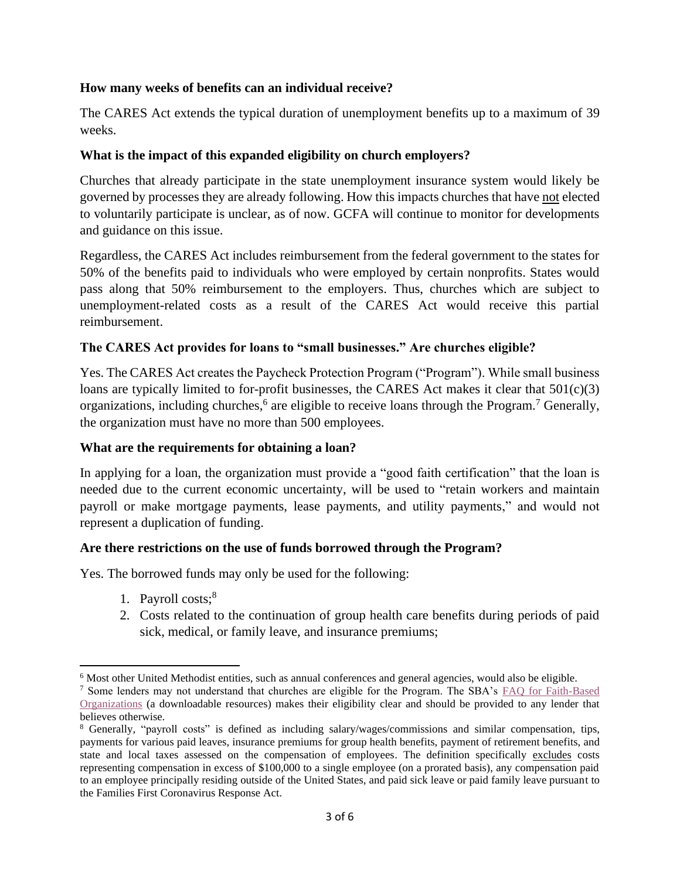## **How many weeks of benefits can an individual receive?**

The CARES Act extends the typical duration of unemployment benefits up to a maximum of 39 weeks.

## **What is the impact of this expanded eligibility on church employers?**

Churches that already participate in the state unemployment insurance system would likely be governed by processes they are already following. How this impacts churches that have not elected to voluntarily participate is unclear, as of now. GCFA will continue to monitor for developments and guidance on this issue.

Regardless, the CARES Act includes reimbursement from the federal government to the states for 50% of the benefits paid to individuals who were employed by certain nonprofits. States would pass along that 50% reimbursement to the employers. Thus, churches which are subject to unemployment-related costs as a result of the CARES Act would receive this partial reimbursement.

### **The CARES Act provides for loans to "small businesses." Are churches eligible?**

Yes. The CARES Act creates the Paycheck Protection Program ("Program"). While small business loans are typically limited to for-profit businesses, the CARES Act makes it clear that  $501(c)(3)$ organizations, including churches,<sup>6</sup> are eligible to receive loans through the Program.<sup>7</sup> Generally, the organization must have no more than 500 employees.

#### **What are the requirements for obtaining a loan?**

In applying for a loan, the organization must provide a "good faith certification" that the loan is needed due to the current economic uncertainty, will be used to "retain workers and maintain payroll or make mortgage payments, lease payments, and utility payments," and would not represent a duplication of funding.

#### **Are there restrictions on the use of funds borrowed through the Program?**

Yes. The borrowed funds may only be used for the following:

- 1. Payroll costs;<sup>8</sup>
- 2. Costs related to the continuation of group health care benefits during periods of paid sick, medical, or family leave, and insurance premiums;

<sup>&</sup>lt;sup>6</sup> Most other United Methodist entities, such as annual conferences and general agencies, would also be eligible.

<sup>7</sup> Some lenders may not understand that churches are eligible for the Program. The SBA's [FAQ for Faith-Based](https://www.sba.gov/document/support--faq-regarding-participation-faith-based-organizations-ppp-eidl)  [Organizations](https://www.sba.gov/document/support--faq-regarding-participation-faith-based-organizations-ppp-eidl) (a downloadable resources) makes their eligibility clear and should be provided to any lender that believes otherwise.

<sup>8</sup> Generally, "payroll costs" is defined as including salary/wages/commissions and similar compensation, tips, payments for various paid leaves, insurance premiums for group health benefits, payment of retirement benefits, and state and local taxes assessed on the compensation of employees. The definition specifically excludes costs representing compensation in excess of \$100,000 to a single employee (on a prorated basis), any compensation paid to an employee principally residing outside of the United States, and paid sick leave or paid family leave pursuant to the Families First Coronavirus Response Act.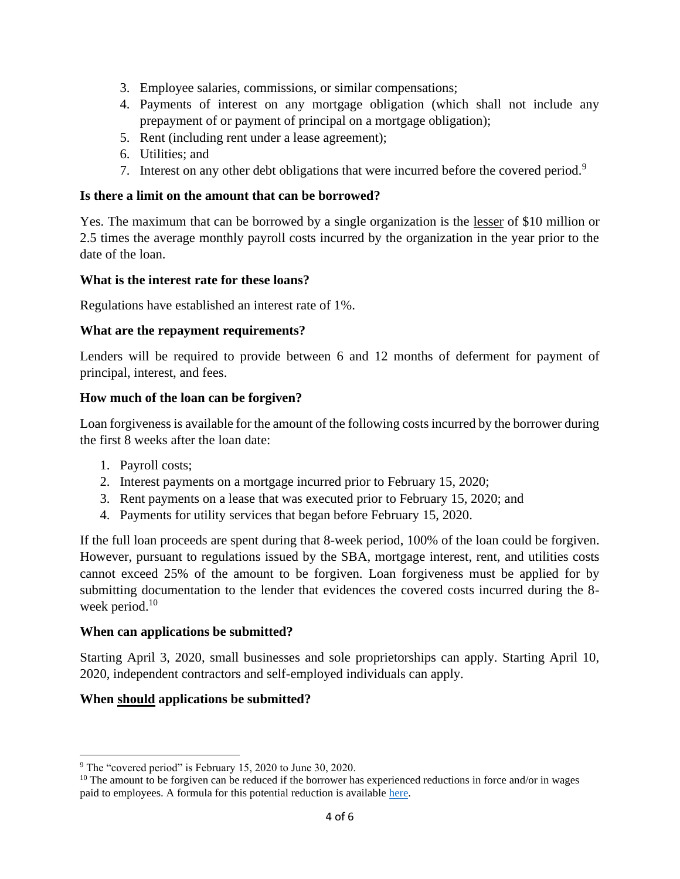- 3. Employee salaries, commissions, or similar compensations;
- 4. Payments of interest on any mortgage obligation (which shall not include any prepayment of or payment of principal on a mortgage obligation);
- 5. Rent (including rent under a lease agreement);
- 6. Utilities; and
- 7. Interest on any other debt obligations that were incurred before the covered period.<sup>9</sup>

## **Is there a limit on the amount that can be borrowed?**

Yes. The maximum that can be borrowed by a single organization is the lesser of \$10 million or 2.5 times the average monthly payroll costs incurred by the organization in the year prior to the date of the loan.

### **What is the interest rate for these loans?**

Regulations have established an interest rate of 1%.

### **What are the repayment requirements?**

Lenders will be required to provide between 6 and 12 months of deferment for payment of principal, interest, and fees.

### **How much of the loan can be forgiven?**

Loan forgiveness is available for the amount of the following costs incurred by the borrower during the first 8 weeks after the loan date:

- 1. Payroll costs;
- 2. Interest payments on a mortgage incurred prior to February 15, 2020;
- 3. Rent payments on a lease that was executed prior to February 15, 2020; and
- 4. Payments for utility services that began before February 15, 2020.

If the full loan proceeds are spent during that 8-week period, 100% of the loan could be forgiven. However, pursuant to regulations issued by the SBA, mortgage interest, rent, and utilities costs cannot exceed 25% of the amount to be forgiven. Loan forgiveness must be applied for by submitting documentation to the lender that evidences the covered costs incurred during the 8 week period.<sup>10</sup>

#### **When can applications be submitted?**

Starting April 3, 2020, small businesses and sole proprietorships can apply. Starting April 10, 2020, independent contractors and self-employed individuals can apply.

## **When should applications be submitted?**

<sup>&</sup>lt;sup>9</sup> The "covered period" is February 15, 2020 to June 30, 2020.

 $10$  The amount to be forgiven can be reduced if the borrower has experienced reductions in force and/or in wages paid to employees. A formula for this potential reduction is available [here.](https://www.natlawreview.com/article/inside-cares-act-covid-19-loan-forgiveness-relief-section-1106-primer)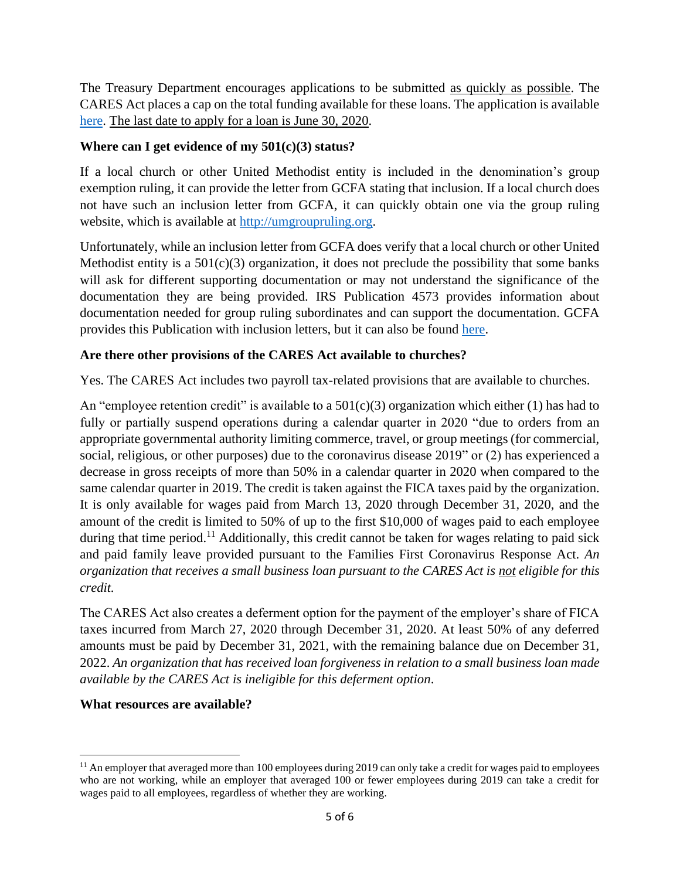The Treasury Department encourages applications to be submitted as quickly as possible. The CARES Act places a cap on the total funding available for these loans. The application is available [here.](https://home.treasury.gov/policy-issues/top-priorities/cares-act/assistance-for-small-businesses) The last date to apply for a loan is June 30, 2020.

## **Where can I get evidence of my 501(c)(3) status?**

If a local church or other United Methodist entity is included in the denomination's group exemption ruling, it can provide the letter from GCFA stating that inclusion. If a local church does not have such an inclusion letter from GCFA, it can quickly obtain one via the group ruling website, which is available at [http://umgroupruling.org.](http://umgroupruling.org/)

Unfortunately, while an inclusion letter from GCFA does verify that a local church or other United Methodist entity is a  $501(c)(3)$  organization, it does not preclude the possibility that some banks will ask for different supporting documentation or may not understand the significance of the documentation they are being provided. IRS Publication 4573 provides information about documentation needed for group ruling subordinates and can support the documentation. GCFA provides this Publication with inclusion letters, but it can also be found [here.](https://www.irs.gov/charities-non-profits/group-exemption-resources)

## **Are there other provisions of the CARES Act available to churches?**

Yes. The CARES Act includes two payroll tax-related provisions that are available to churches.

An "employee retention credit" is available to a  $501(c)(3)$  organization which either (1) has had to fully or partially suspend operations during a calendar quarter in 2020 "due to orders from an appropriate governmental authority limiting commerce, travel, or group meetings (for commercial, social, religious, or other purposes) due to the coronavirus disease 2019" or (2) has experienced a decrease in gross receipts of more than 50% in a calendar quarter in 2020 when compared to the same calendar quarter in 2019. The credit is taken against the FICA taxes paid by the organization. It is only available for wages paid from March 13, 2020 through December 31, 2020, and the amount of the credit is limited to 50% of up to the first \$10,000 of wages paid to each employee during that time period.<sup>11</sup> Additionally, this credit cannot be taken for wages relating to paid sick and paid family leave provided pursuant to the Families First Coronavirus Response Act. *An organization that receives a small business loan pursuant to the CARES Act is not eligible for this credit.*

The CARES Act also creates a deferment option for the payment of the employer's share of FICA taxes incurred from March 27, 2020 through December 31, 2020. At least 50% of any deferred amounts must be paid by December 31, 2021, with the remaining balance due on December 31, 2022. *An organization that has received loan forgiveness in relation to a small business loan made available by the CARES Act is ineligible for this deferment option*.

## **What resources are available?**

<sup>&</sup>lt;sup>11</sup> An employer that averaged more than 100 employees during 2019 can only take a credit for wages paid to employees who are not working, while an employer that averaged 100 or fewer employees during 2019 can take a credit for wages paid to all employees, regardless of whether they are working.